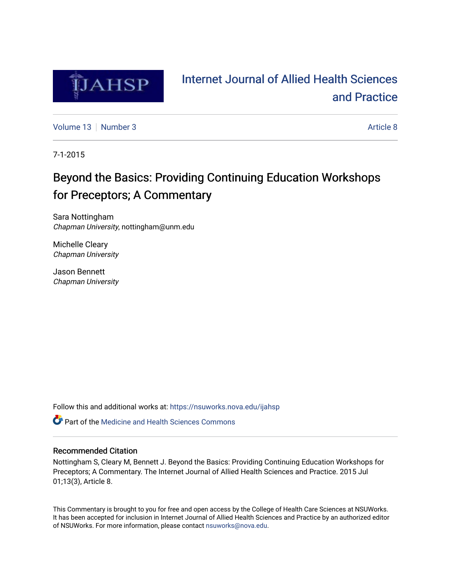

# [Internet Journal of Allied Health Sciences](https://nsuworks.nova.edu/ijahsp)  [and Practice](https://nsuworks.nova.edu/ijahsp)

[Volume 13](https://nsuworks.nova.edu/ijahsp/vol13) [Number 3](https://nsuworks.nova.edu/ijahsp/vol13/iss3) [Article 8](https://nsuworks.nova.edu/ijahsp/vol13/iss3/8) Article 8 Article 8 Article 8 Article 8 Article 8 Article 8

7-1-2015

# Beyond the Basics: Providing Continuing Education Workshops for Preceptors; A Commentary

Sara Nottingham Chapman University, nottingham@unm.edu

Michelle Cleary Chapman University

Jason Bennett Chapman University

Follow this and additional works at: [https://nsuworks.nova.edu/ijahsp](https://nsuworks.nova.edu/ijahsp?utm_source=nsuworks.nova.edu%2Fijahsp%2Fvol13%2Fiss3%2F8&utm_medium=PDF&utm_campaign=PDFCoverPages) 

**C** Part of the Medicine and Health Sciences Commons

### Recommended Citation

Nottingham S, Cleary M, Bennett J. Beyond the Basics: Providing Continuing Education Workshops for Preceptors; A Commentary. The Internet Journal of Allied Health Sciences and Practice. 2015 Jul 01;13(3), Article 8.

This Commentary is brought to you for free and open access by the College of Health Care Sciences at NSUWorks. It has been accepted for inclusion in Internet Journal of Allied Health Sciences and Practice by an authorized editor of NSUWorks. For more information, please contact [nsuworks@nova.edu.](mailto:nsuworks@nova.edu)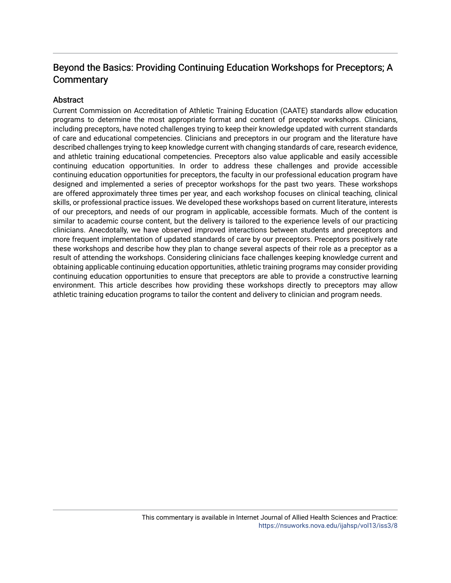## Beyond the Basics: Providing Continuing Education Workshops for Preceptors; A **Commentary**

### **Abstract**

Current Commission on Accreditation of Athletic Training Education (CAATE) standards allow education programs to determine the most appropriate format and content of preceptor workshops. Clinicians, including preceptors, have noted challenges trying to keep their knowledge updated with current standards of care and educational competencies. Clinicians and preceptors in our program and the literature have described challenges trying to keep knowledge current with changing standards of care, research evidence, and athletic training educational competencies. Preceptors also value applicable and easily accessible continuing education opportunities. In order to address these challenges and provide accessible continuing education opportunities for preceptors, the faculty in our professional education program have designed and implemented a series of preceptor workshops for the past two years. These workshops are offered approximately three times per year, and each workshop focuses on clinical teaching, clinical skills, or professional practice issues. We developed these workshops based on current literature, interests of our preceptors, and needs of our program in applicable, accessible formats. Much of the content is similar to academic course content, but the delivery is tailored to the experience levels of our practicing clinicians. Anecdotally, we have observed improved interactions between students and preceptors and more frequent implementation of updated standards of care by our preceptors. Preceptors positively rate these workshops and describe how they plan to change several aspects of their role as a preceptor as a result of attending the workshops. Considering clinicians face challenges keeping knowledge current and obtaining applicable continuing education opportunities, athletic training programs may consider providing continuing education opportunities to ensure that preceptors are able to provide a constructive learning environment. This article describes how providing these workshops directly to preceptors may allow athletic training education programs to tailor the content and delivery to clinician and program needs.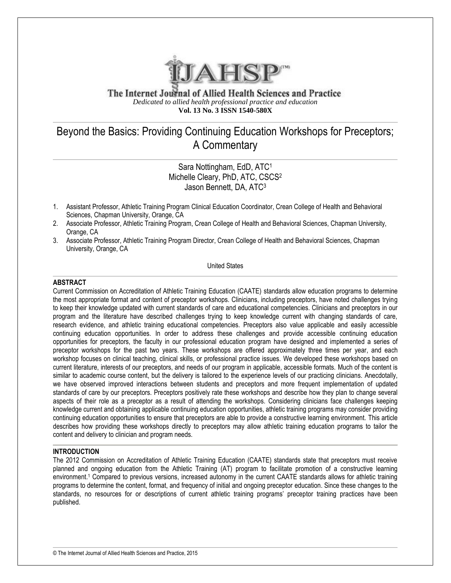

The Internet Journal of Allied Health Sciences and Practice *Dedicated to allied health professional practice and education* **Vol. 13 No. 3 ISSN 1540-580X**

## Beyond the Basics: Providing Continuing Education Workshops for Preceptors; A Commentary

Sara Nottingham, EdD, ATC<sup>1</sup> Michelle Cleary, PhD, ATC, CSCS<sup>2</sup> Jason Bennett, DA, ATC<sup>3</sup>

- 1. Assistant Professor, Athletic Training Program Clinical Education Coordinator, Crean College of Health and Behavioral Sciences, Chapman University, Orange, CA
- 2. Associate Professor, Athletic Training Program, Crean College of Health and Behavioral Sciences, Chapman University, Orange, CA
- 3. Associate Professor, Athletic Training Program Director, Crean College of Health and Behavioral Sciences, Chapman University, Orange, CA

United States

#### **ABSTRACT**

Current Commission on Accreditation of Athletic Training Education (CAATE) standards allow education programs to determine the most appropriate format and content of preceptor workshops. Clinicians, including preceptors, have noted challenges trying to keep their knowledge updated with current standards of care and educational competencies. Clinicians and preceptors in our program and the literature have described challenges trying to keep knowledge current with changing standards of care, research evidence, and athletic training educational competencies. Preceptors also value applicable and easily accessible continuing education opportunities. In order to address these challenges and provide accessible continuing education opportunities for preceptors, the faculty in our professional education program have designed and implemented a series of preceptor workshops for the past two years. These workshops are offered approximately three times per year, and each workshop focuses on clinical teaching, clinical skills, or professional practice issues. We developed these workshops based on current literature, interests of our preceptors, and needs of our program in applicable, accessible formats. Much of the content is similar to academic course content, but the delivery is tailored to the experience levels of our practicing clinicians. Anecdotally, we have observed improved interactions between students and preceptors and more frequent implementation of updated standards of care by our preceptors. Preceptors positively rate these workshops and describe how they plan to change several aspects of their role as a preceptor as a result of attending the workshops. Considering clinicians face challenges keeping knowledge current and obtaining applicable continuing education opportunities, athletic training programs may consider providing continuing education opportunities to ensure that preceptors are able to provide a constructive learning environment. This article describes how providing these workshops directly to preceptors may allow athletic training education programs to tailor the content and delivery to clinician and program needs.

#### **INTRODUCTION**

The 2012 Commission on Accreditation of Athletic Training Education (CAATE) standards state that preceptors must receive planned and ongoing education from the Athletic Training (AT) program to facilitate promotion of a constructive learning environment.<sup>1</sup> Compared to previous versions, increased autonomy in the current CAATE standards allows for athletic training programs to determine the content, format, and frequency of initial and ongoing preceptor education. Since these changes to the standards, no resources for or descriptions of current athletic training programs' preceptor training practices have been published.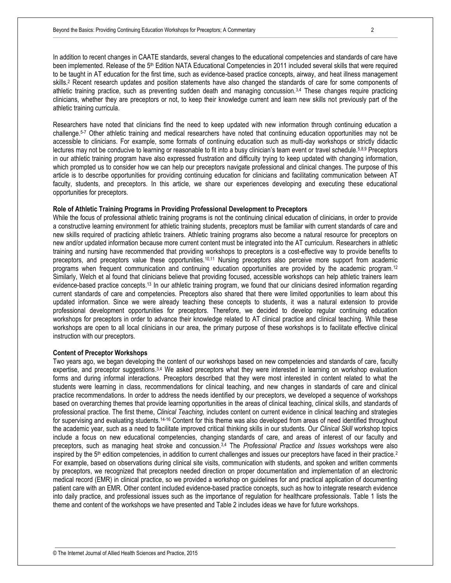In addition to recent changes in CAATE standards, several changes to the educational competencies and standards of care have been implemented. Release of the 5<sup>th</sup> Edition NATA Educational Competencies in 2011 included several skills that were required to be taught in AT education for the first time, such as evidence-based practice concepts, airway, and heat illness management skills.<sup>2</sup> Recent research updates and position statements have also changed the standards of care for some components of athletic training practice, such as preventing sudden death and managing concussion.<sup>3,4</sup> These changes require practicing clinicians, whether they are preceptors or not, to keep their knowledge current and learn new skills not previously part of the athletic training curricula.

Researchers have noted that clinicians find the need to keep updated with new information through continuing education a challenge.5-7 Other athletic training and medical researchers have noted that continuing education opportunities may not be accessible to clinicians. For example, some formats of continuing education such as multi-day workshops or strictly didactic lectures may not be conducive to learning or reasonable to fit into a busy clinician's team event or travel schedule.<sup>5,8,9</sup> Preceptors in our athletic training program have also expressed frustration and difficulty trying to keep updated with changing information, which prompted us to consider how we can help our preceptors navigate professional and clinical changes. The purpose of this article is to describe opportunities for providing continuing education for clinicians and facilitating communication between AT faculty, students, and preceptors. In this article, we share our experiences developing and executing these educational opportunities for preceptors.

#### **Role of Athletic Training Programs in Providing Professional Development to Preceptors**

While the focus of professional athletic training programs is not the continuing clinical education of clinicians, in order to provide a constructive learning environment for athletic training students, preceptors must be familiar with current standards of care and new skills required of practicing athletic trainers. Athletic training programs also become a natural resource for preceptors on new and/or updated information because more current content must be integrated into the AT curriculum. Researchers in athletic training and nursing have recommended that providing workshops to preceptors is a cost-effective way to provide benefits to preceptors, and preceptors value these opportunities.10,11 Nursing preceptors also perceive more support from academic programs when frequent communication and continuing education opportunities are provided by the academic program.<sup>12</sup> Similarly, Welch et al found that clinicians believe that providing focused, accessible workshops can help athletic trainers learn evidence-based practice concepts.<sup>13</sup> In our athletic training program, we found that our clinicians desired information regarding current standards of care and competencies. Preceptors also shared that there were limited opportunities to learn about this updated information. Since we were already teaching these concepts to students, it was a natural extension to provide professional development opportunities for preceptors. Therefore, we decided to develop regular continuing education workshops for preceptors in order to advance their knowledge related to AT clinical practice and clinical teaching. While these workshops are open to all local clinicians in our area, the primary purpose of these workshops is to facilitate effective clinical instruction with our preceptors.

#### **Content of Preceptor Workshops**

Two years ago, we began developing the content of our workshops based on new competencies and standards of care, faculty expertise, and preceptor suggestions.<sup>3,4</sup> We asked preceptors what they were interested in learning on workshop evaluation forms and during informal interactions. Preceptors described that they were most interested in content related to what the students were learning in class, recommendations for clinical teaching, and new changes in standards of care and clinical practice recommendations. In order to address the needs identified by our preceptors, we developed a sequence of workshops based on overarching themes that provide learning opportunities in the areas of clinical teaching, clinical skills, and standards of professional practice. The first theme, *Clinical Teaching,* includes content on current evidence in clinical teaching and strategies for supervising and evaluating students.14-16 Content for this theme was also developed from areas of need identified throughout the academic year, such as a need to facilitate improved critical thinking skills in our students. Our *Clinical Skill* workshop topics include a focus on new educational competencies, changing standards of care, and areas of interest of our faculty and preceptors, such as managing heat stroke and concussion.3,4 The *Professional Practice and Issues* workshops were also inspired by the 5<sup>th</sup> edition competencies, in addition to current challenges and issues our preceptors have faced in their practice.<sup>2</sup> For example, based on observations during clinical site visits, communication with students, and spoken and written comments by preceptors, we recognized that preceptors needed direction on proper documentation and implementation of an electronic medical record (EMR) in clinical practice, so we provided a workshop on guidelines for and practical application of documenting patient care with an EMR. Other content included evidence-based practice concepts, such as how to integrate research evidence into daily practice, and professional issues such as the importance of regulation for healthcare professionals. Table 1 lists the theme and content of the workshops we have presented and Table 2 includes ideas we have for future workshops.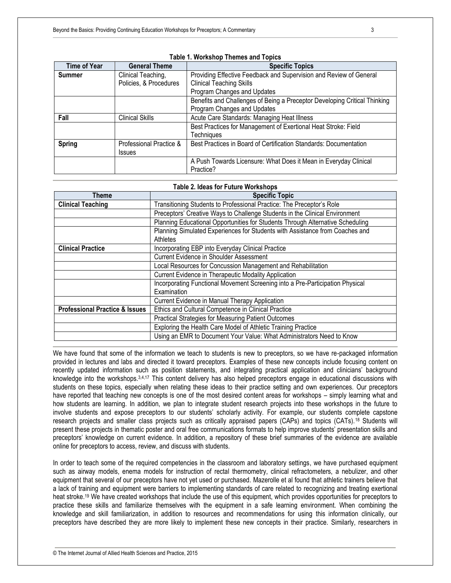| <b>Time of Year</b> | <b>General Theme</b>    | <b>Specific Topics</b>                                                    |
|---------------------|-------------------------|---------------------------------------------------------------------------|
| <b>Summer</b>       | Clinical Teaching,      | Providing Effective Feedback and Supervision and Review of General        |
|                     | Policies, & Procedures  | <b>Clinical Teaching Skills</b>                                           |
|                     |                         | Program Changes and Updates                                               |
|                     |                         | Benefits and Challenges of Being a Preceptor Developing Critical Thinking |
|                     |                         | Program Changes and Updates                                               |
| Fall                | <b>Clinical Skills</b>  | Acute Care Standards: Managing Heat Illness                               |
|                     |                         | Best Practices for Management of Exertional Heat Stroke: Field            |
|                     |                         | <b>Techniques</b>                                                         |
| <b>Spring</b>       | Professional Practice & | Best Practices in Board of Certification Standards: Documentation         |
|                     | <b>Issues</b>           |                                                                           |
|                     |                         | A Push Towards Licensure: What Does it Mean in Everyday Clinical          |
|                     |                         | Practice?                                                                 |

#### **Table 1. Workshop Themes and Topics**

#### **Table 2. Ideas for Future Workshops**

| Theme                                     | <b>Specific Topic</b>                                                                    |
|-------------------------------------------|------------------------------------------------------------------------------------------|
| <b>Clinical Teaching</b>                  | Transitioning Students to Professional Practice: The Preceptor's Role                    |
|                                           | Preceptors' Creative Ways to Challenge Students in the Clinical Environment              |
|                                           | Planning Educational Opportunities for Students Through Alternative Scheduling           |
|                                           | Planning Simulated Experiences for Students with Assistance from Coaches and<br>Athletes |
| <b>Clinical Practice</b>                  | Incorporating EBP into Everyday Clinical Practice                                        |
|                                           | Current Evidence in Shoulder Assessment                                                  |
|                                           | Local Resources for Concussion Management and Rehabilitation                             |
|                                           | Current Evidence in Therapeutic Modality Application                                     |
|                                           | Incorporating Functional Movement Screening into a Pre-Participation Physical            |
|                                           | Examination                                                                              |
|                                           | Current Evidence in Manual Therapy Application                                           |
| <b>Professional Practice &amp; Issues</b> | Ethics and Cultural Competence in Clinical Practice                                      |
|                                           | <b>Practical Strategies for Measuring Patient Outcomes</b>                               |
|                                           | Exploring the Health Care Model of Athletic Training Practice                            |
|                                           | Using an EMR to Document Your Value: What Administrators Need to Know                    |

We have found that some of the information we teach to students is new to preceptors, so we have re-packaged information provided in lectures and labs and directed it toward preceptors. Examples of these new concepts include focusing content on recently updated information such as position statements, and integrating practical application and clinicians' background knowledge into the workshops.3,4,17 This content delivery has also helped preceptors engage in educational discussions with students on these topics, especially when relating these ideas to their practice setting and own experiences. Our preceptors have reported that teaching new concepts is one of the most desired content areas for workshops – simply learning what and how students are learning. In addition, we plan to integrate student research projects into these workshops in the future to involve students and expose preceptors to our students' scholarly activity. For example, our students complete capstone research projects and smaller class projects such as critically appraised papers (CAPs) and topics (CATs).<sup>18</sup> Students will present these projects in thematic poster and oral free communications formats to help improve students' presentation skills and preceptors' knowledge on current evidence. In addition, a repository of these brief summaries of the evidence are available online for preceptors to access, review, and discuss with students.

In order to teach some of the required competencies in the classroom and laboratory settings, we have purchased equipment such as airway models, enema models for instruction of rectal thermometry, clinical refractometers, a nebulizer, and other equipment that several of our preceptors have not yet used or purchased. Mazerolle et al found that athletic trainers believe that a lack of training and equipment were barriers to implementing standards of care related to recognizing and treating exertional heat stroke.<sup>19</sup> We have created workshops that include the use of this equipment, which provides opportunities for preceptors to practice these skills and familiarize themselves with the equipment in a safe learning environment. When combining the knowledge and skill familiarization, in addition to resources and recommendations for using this information clinically, our preceptors have described they are more likely to implement these new concepts in their practice. Similarly, researchers in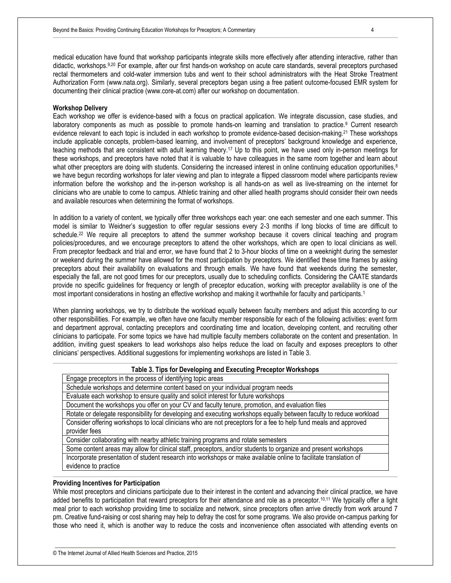medical education have found that workshop participants integrate skills more effectively after attending interactive, rather than didactic, workshops.9,20 For example, after our first hands-on workshop on acute care standards, several preceptors purchased rectal thermometers and cold-water immersion tubs and went to their school administrators with the Heat Stroke Treatment Authorization Form (www.nata.org). Similarly, several preceptors began using a free patient outcome-focused EMR system for documenting their clinical practice (www.core-at.com) after our workshop on documentation.

#### **Workshop Delivery**

Each workshop we offer is evidence-based with a focus on practical application. We integrate discussion, case studies, and laboratory components as much as possible to promote hands-on learning and translation to practice.<sup>9</sup> Current research evidence relevant to each topic is included in each workshop to promote evidence-based decision-making.<sup>21</sup> These workshops include applicable concepts, problem-based learning, and involvement of preceptors' background knowledge and experience, teaching methods that are consistent with adult learning theory.<sup>17</sup> Up to this point, we have used only in-person meetings for these workshops, and preceptors have noted that it is valuable to have colleagues in the same room together and learn about what other preceptors are doing with students. Considering the increased interest in online continuing education opportunities,<sup>8</sup> we have begun recording workshops for later viewing and plan to integrate a flipped classroom model where participants review information before the workshop and the in-person workshop is all hands-on as well as live-streaming on the internet for clinicians who are unable to come to campus. Athletic training and other allied health programs should consider their own needs and available resources when determining the format of workshops.

In addition to a variety of content, we typically offer three workshops each year: one each semester and one each summer. This model is similar to Weidner's suggestion to offer regular sessions every 2-3 months if long blocks of time are difficult to schedule.<sup>22</sup> We require all preceptors to attend the summer workshop because it covers clinical teaching and program policies/procedures, and we encourage preceptors to attend the other workshops, which are open to local clinicians as well. From preceptor feedback and trial and error, we have found that 2 to 3-hour blocks of time on a weeknight during the semester or weekend during the summer have allowed for the most participation by preceptors. We identified these time frames by asking preceptors about their availability on evaluations and through emails. We have found that weekends during the semester, especially the fall, are not good times for our preceptors, usually due to scheduling conflicts. Considering the CAATE standards provide no specific guidelines for frequency or length of preceptor education, working with preceptor availability is one of the most important considerations in hosting an effective workshop and making it worthwhile for faculty and participants.<sup>1</sup>

When planning workshops, we try to distribute the workload equally between faculty members and adjust this according to our other responsibilities. For example, we often have one faculty member responsible for each of the following activities: event form and department approval, contacting preceptors and coordinating time and location, developing content, and recruiting other clinicians to participate. For some topics we have had multiple faculty members collaborate on the content and presentation. In addition, inviting guest speakers to lead workshops also helps reduce the load on faculty and exposes preceptors to other clinicians' perspectives. Additional suggestions for implementing workshops are listed in Table 3.

#### **Table 3. Tips for Developing and Executing Preceptor Workshops**

| Engage preceptors in the process of identifying topic areas |
|-------------------------------------------------------------|
|-------------------------------------------------------------|

- Schedule workshops and determine content based on your individual program needs
- Evaluate each workshop to ensure quality and solicit interest for future workshops

Document the workshops you offer on your CV and faculty tenure, promotion, and evaluation files

Rotate or delegate responsibility for developing and executing workshops equally between faculty to reduce workload Consider offering workshops to local clinicians who are not preceptors for a fee to help fund meals and approved provider fees

Consider collaborating with nearby athletic training programs and rotate semesters

Some content areas may allow for clinical staff, preceptors, and/or students to organize and present workshops Incorporate presentation of student research into workshops or make available online to facilitate translation of

evidence to practice

#### **Providing Incentives for Participation**

While most preceptors and clinicians participate due to their interest in the content and advancing their clinical practice, we have added benefits to participation that reward preceptors for their attendance and role as a preceptor.10,11 We typically offer a light meal prior to each workshop providing time to socialize and network, since preceptors often arrive directly from work around 7 pm. Creative fund-raising or cost sharing may help to defray the cost for some programs. We also provide on-campus parking for those who need it, which is another way to reduce the costs and inconvenience often associated with attending events on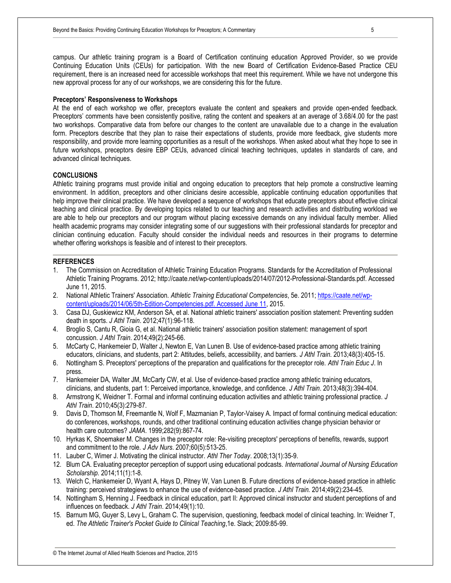campus. Our athletic training program is a Board of Certification continuing education Approved Provider, so we provide Continuing Education Units (CEUs) for participation. With the new Board of Certification Evidence-Based Practice CEU requirement, there is an increased need for accessible workshops that meet this requirement. While we have not undergone this new approval process for any of our workshops, we are considering this for the future.

#### **Preceptors' Responsiveness to Workshops**

At the end of each workshop we offer, preceptors evaluate the content and speakers and provide open-ended feedback. Preceptors' comments have been consistently positive, rating the content and speakers at an average of 3.68/4.00 for the past two workshops. Comparative data from before our changes to the content are unavailable due to a change in the evaluation form. Preceptors describe that they plan to raise their expectations of students, provide more feedback, give students more responsibility, and provide more learning opportunities as a result of the workshops. When asked about what they hope to see in future workshops, preceptors desire EBP CEUs, advanced clinical teaching techniques, updates in standards of care, and advanced clinical techniques.

#### **CONCLUSIONS**

Athletic training programs must provide initial and ongoing education to preceptors that help promote a constructive learning environment. In addition, preceptors and other clinicians desire accessible, applicable continuing education opportunities that help improve their clinical practice. We have developed a sequence of workshops that educate preceptors about effective clinical teaching and clinical practice. By developing topics related to our teaching and research activities and distributing workload we are able to help our preceptors and our program without placing excessive demands on any individual faculty member. Allied health academic programs may consider integrating some of our suggestions with their professional standards for preceptor and clinician continuing education. Faculty should consider the individual needs and resources in their programs to determine whether offering workshops is feasible and of interest to their preceptors.

#### **REFERENCES**

- 1. The Commission on Accreditation of Athletic Training Education Programs. Standards for the Accreditation of Professional Athletic Training Programs. 2012; http://caate.net/wp-content/uploads/2014/07/2012-Professional-Standards.pdf. Accessed June 11, 2015.
- 2. National Athletic Trainers' Association. *Athletic Training Educational Competencies*, 5e. 2011; [https://caate.net/wp](https://caate.net/wp-content/uploads/2014/06/5th-Edition-Competencies.pdf.%20Accessed%20June%2011)[content/uploads/2014/06/5th-Edition-Competencies.pdf. Accessed June 11,](https://caate.net/wp-content/uploads/2014/06/5th-Edition-Competencies.pdf.%20Accessed%20June%2011) 2015.
- 3. Casa DJ, Guskiewicz KM, Anderson SA, et al. National athletic trainers' association position statement: Preventing sudden death in sports. *J Athl Train*. 2012;47(1):96-118.
- 4. Broglio S, Cantu R, Gioia G, et al. National athletic trainers' association position statement: management of sport concussion. *J Athl Train*. 2014;49(2):245-66.
- 5. McCarty C, Hankemeier D, Walter J, Newton E, Van Lunen B. Use of evidence-based practice among athletic training educators, clinicians, and students, part 2: Attitudes, beliefs, accessibility, and barriers. *J Athl Train*. 2013;48(3):405-15.
- 6. Nottingham S. Preceptors' perceptions of the preparation and qualifications for the preceptor role. *Athl Train Educ J*. In press.
- 7. Hankemeier DA, Walter JM, McCarty CW, et al. Use of evidence-based practice among athletic training educators, clinicians, and students, part 1: Perceived importance, knowledge, and confidence. *J Athl Train*. 2013;48(3):394-404.
- 8. Armstrong K, Weidner T. Formal and informal continuing education activities and athletic training professional practice. *J Athl Train*. 2010;45(3):279-87.
- 9. Davis D, Thomson M, Freemantle N, Wolf F, Mazmanian P, Taylor-Vaisey A. Impact of formal continuing medical education: do conferences, workshops, rounds, and other traditional continuing education activities change physician behavior or health care outcomes? *JAMA*. 1999;282(9):867-74.
- 10. Hyrkas K, Shoemaker M. Changes in the preceptor role: Re-visiting preceptors' perceptions of benefits, rewards, support and commitment to the role. *J Adv Nurs*. 2007;60(5):513-25.
- 11. Lauber C, Wimer J. Motivating the clinical instructor. *Athl Ther Today*. 2008;13(1):35-9.
- 12. Blum CA. Evaluating preceptor perception of support using educational podcasts. *International Journal of Nursing Education Scholarship.* 2014;11(1):1-8.
- 13. Welch C, Hankemeier D, Wyant A, Hays D, Pitney W, Van Lunen B. Future directions of evidence-based practice in athletic training: perceived strategiews to enhance the use of evidence-based practice. *J Athl Train.* 2014;49(2):234-45.
- 14. Nottingham S, Henning J. Feedback in clinical education, part II: Approved clinical instructor and student perceptions of and influences on feedback. *J Athl Train*. 2014;49(1):10.
- 15. Barnum MG, Guyer S, Levy L, Graham C. The supervision, questioning, feedback model of clinical teaching. In: Weidner T, ed. *The Athletic Trainer's Pocket Guide to Clinical Teaching*,1e. Slack; 2009:85-99.